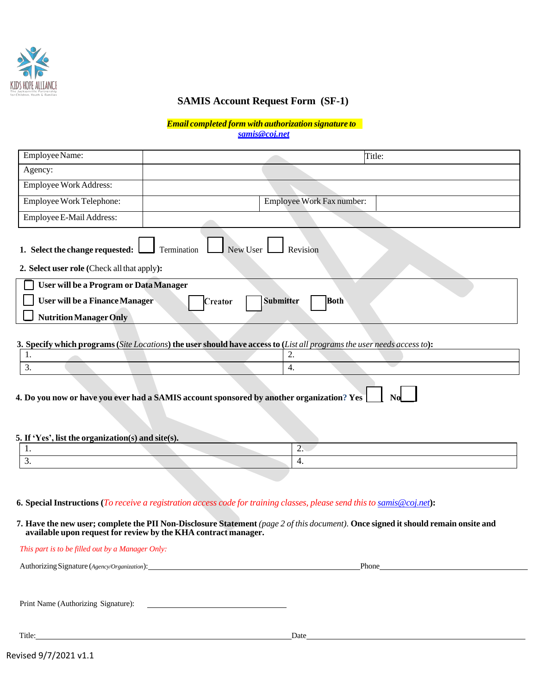

## **SAMIS Account Request Form (SF-1)**

*Email completed form with authorization signature to [samis@coj.net](mailto:samis@coj.net)*

| Employee Name:                                                                            | Title:                                                                                                                   |  |
|-------------------------------------------------------------------------------------------|--------------------------------------------------------------------------------------------------------------------------|--|
| Agency:                                                                                   |                                                                                                                          |  |
| <b>Employee Work Address:</b>                                                             |                                                                                                                          |  |
| Employee Work Telephone:                                                                  | Employee Work Fax number:                                                                                                |  |
| Employee E-Mail Address:                                                                  |                                                                                                                          |  |
| 1. Select the change requested:<br>2. Select user role (Check all that apply):            | New User<br>Revision<br>Termination                                                                                      |  |
| User will be a Program or Data Manager                                                    |                                                                                                                          |  |
| <b>User will be a Finance Manager</b><br><b>Submitter</b><br><b>Both</b><br>Creator       |                                                                                                                          |  |
| <b>Nutrition Manager Only</b>                                                             |                                                                                                                          |  |
|                                                                                           |                                                                                                                          |  |
|                                                                                           | 3. Specify which programs (Site Locations) the user should have access to (List all programs the user needs access to):  |  |
| 1.                                                                                        | $\overline{2}$ .                                                                                                         |  |
| 3.                                                                                        | $\overline{4}$ .                                                                                                         |  |
| 4. Do you now or have you ever had a SAMIS account sponsored by another organization? Yes |                                                                                                                          |  |
| 5. If 'Yes', list the organization(s) and site(s).                                        |                                                                                                                          |  |
| 1.                                                                                        | $\overline{2}$ .                                                                                                         |  |
| 3.                                                                                        | $\overline{4}$ .                                                                                                         |  |
|                                                                                           |                                                                                                                          |  |
|                                                                                           |                                                                                                                          |  |
|                                                                                           | 6. Special Instructions (To receive a registration access code for training classes, please send this to samis@coj.net): |  |

7. Have the new user; complete the PII Non-Disclosure Statement (page 2 of this document). Once signed it should remain onsite and **available upon request for review by the KHA contract manager.**

| This part is to be filled out by a Manager Only: |       |
|--------------------------------------------------|-------|
| Authorizing Signature (Agency/Organization):     | Phone |
|                                                  |       |
| Print Name (Authorizing Signature):              |       |
| Title:                                           | Date  |